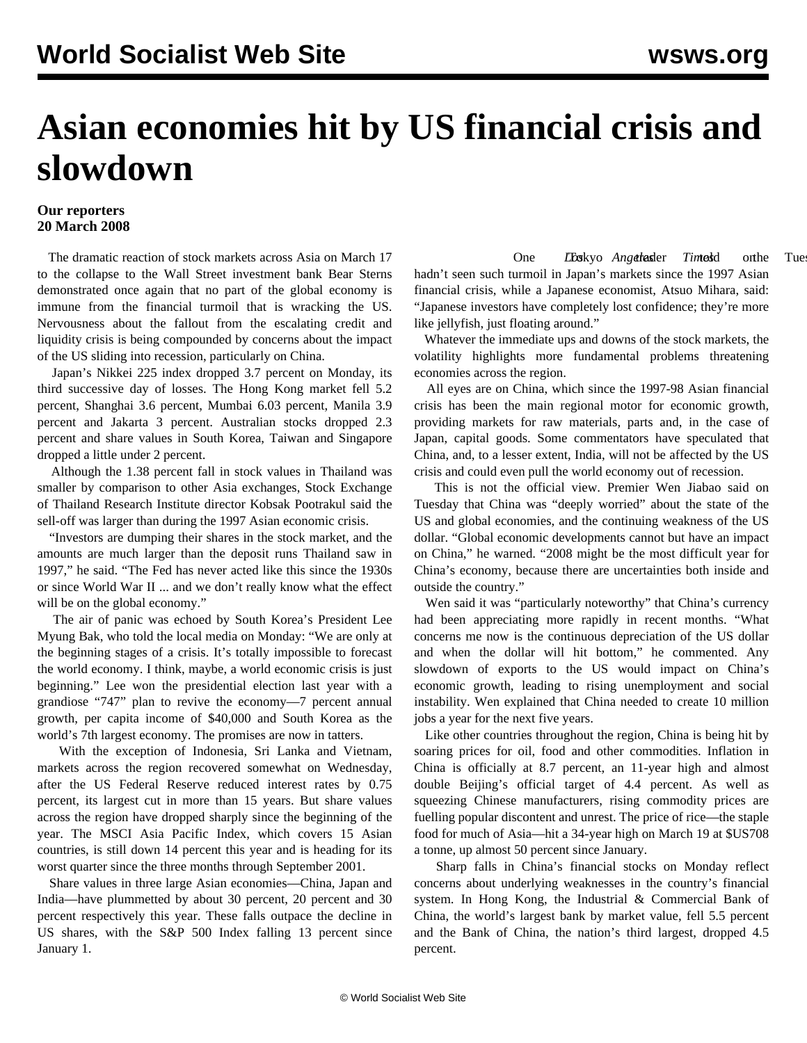## **Asian economies hit by US financial crisis and slowdown**

## **Our reporters 20 March 2008**

 The dramatic reaction of stock markets across Asia on March 17 to the collapse to the Wall Street investment bank Bear Sterns demonstrated once again that no part of the global economy is immune from the financial turmoil that is wracking the US. Nervousness about the fallout from the escalating credit and liquidity crisis is being compounded by concerns about the impact of the US sliding into recession, particularly on China.

 Japan's Nikkei 225 index dropped 3.7 percent on Monday, its third successive day of losses. The Hong Kong market fell 5.2 percent, Shanghai 3.6 percent, Mumbai 6.03 percent, Manila 3.9 percent and Jakarta 3 percent. Australian stocks dropped 2.3 percent and share values in South Korea, Taiwan and Singapore dropped a little under 2 percent.

 Although the 1.38 percent fall in stock values in Thailand was smaller by comparison to other Asia exchanges, Stock Exchange of Thailand Research Institute director Kobsak Pootrakul said the sell-off was larger than during the 1997 Asian economic crisis.

 "Investors are dumping their shares in the stock market, and the amounts are much larger than the deposit runs Thailand saw in 1997," he said. "The Fed has never acted like this since the 1930s or since World War II ... and we don't really know what the effect will be on the global economy."

 The air of panic was echoed by South Korea's President Lee Myung Bak, who told the local media on Monday: "We are only at the beginning stages of a crisis. It's totally impossible to forecast the world economy. I think, maybe, a world economic crisis is just beginning." Lee won the presidential election last year with a grandiose "747" plan to revive the economy—7 percent annual growth, per capita income of \$40,000 and South Korea as the world's 7th largest economy. The promises are now in tatters.

 With the exception of Indonesia, Sri Lanka and Vietnam, markets across the region recovered somewhat on Wednesday, after the US Federal Reserve reduced interest rates by 0.75 percent, its largest cut in more than 15 years. But share values across the region have dropped sharply since the beginning of the year. The MSCI Asia Pacific Index, which covers 15 Asian countries, is still down 14 percent this year and is heading for its worst quarter since the three months through September 2001.

 Share values in three large Asian economies—China, Japan and India—have plummetted by about 30 percent, 20 percent and 30 percent respectively this year. These falls outpace the decline in US shares, with the S&P 500 Index falling 13 percent since January 1.

One *Loskyo Angelassigner Timesid* on the Tuesday hadn't seen such turmoil in Japan's markets since the 1997 Asian financial crisis, while a Japanese economist, Atsuo Mihara, said: "Japanese investors have completely lost confidence; they're more like jellyfish, just floating around."

 Whatever the immediate ups and downs of the stock markets, the volatility highlights more fundamental problems threatening economies across the region.

 All eyes are on China, which since the 1997-98 Asian financial crisis has been the main regional motor for economic growth, providing markets for raw materials, parts and, in the case of Japan, capital goods. Some commentators have speculated that China, and, to a lesser extent, India, will not be affected by the US crisis and could even pull the world economy out of recession.

 This is not the official view. Premier Wen Jiabao said on Tuesday that China was "deeply worried" about the state of the US and global economies, and the continuing weakness of the US dollar. "Global economic developments cannot but have an impact on China," he warned. "2008 might be the most difficult year for China's economy, because there are uncertainties both inside and outside the country."

 Wen said it was "particularly noteworthy" that China's currency had been appreciating more rapidly in recent months. "What concerns me now is the continuous depreciation of the US dollar and when the dollar will hit bottom," he commented. Any slowdown of exports to the US would impact on China's economic growth, leading to rising unemployment and social instability. Wen explained that China needed to create 10 million jobs a year for the next five years.

 Like other countries throughout the region, China is being hit by soaring prices for oil, food and other commodities. Inflation in China is officially at 8.7 percent, an 11-year high and almost double Beijing's official target of 4.4 percent. As well as squeezing Chinese manufacturers, rising commodity prices are fuelling popular discontent and unrest. The price of rice—the staple food for much of Asia—hit a 34-year high on March 19 at \$US708 a tonne, up almost 50 percent since January.

 Sharp falls in China's financial stocks on Monday reflect concerns about underlying weaknesses in the country's financial system. In Hong Kong, the Industrial & Commercial Bank of China, the world's largest bank by market value, fell 5.5 percent and the Bank of China, the nation's third largest, dropped 4.5 percent.